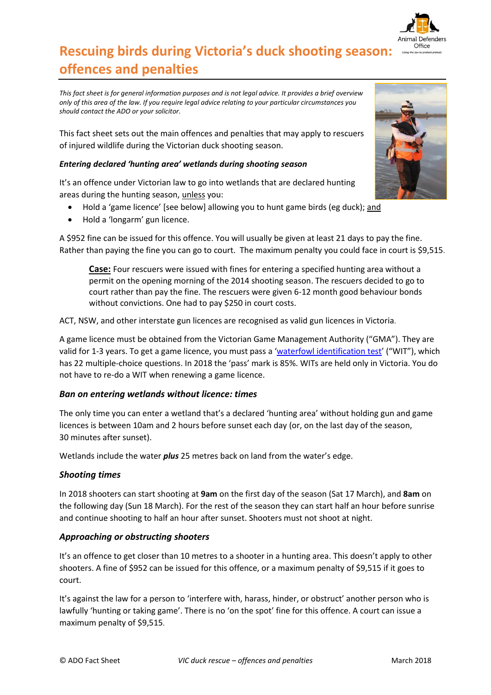

# **Rescuing birds during Victoria's duck shooting season: offences and penalties**

*This fact sheet is for general information purposes and is not legal advice. It provides a brief overview only of this area of the law. If you require legal advice relating to your particular circumstances you should contact the ADO or your solicitor.*

This fact sheet sets out the main offences and penalties that may apply to rescuers of injured wildlife during the Victorian duck shooting season.

# *Entering declared 'hunting area' wetlands during shooting season*

It's an offence under Victorian law to go into wetlands that are declared hunting areas during the hunting season, unless you:

- Hold a 'game licence' [see below] allowing you to hunt game birds (eg duck); and
- Hold a 'longarm' gun licence.

A \$952 fine can be issued for this offence. You will usually be given at least 21 days to pay the fine. Rather than paying the fine you can go to court. The maximum penalty you could face in court is \$9,515.

**Case:** Four rescuers were issued with fines for entering a specified hunting area without a permit on the opening morning of the 2014 shooting season. The rescuers decided to go to court rather than pay the fine. The rescuers were given 6-12 month good behaviour bonds without convictions. One had to pay \$250 in court costs.

ACT, NSW, and other interstate gun licences are recognised as valid gun licences in Victoria.

A game licence must be obtained from the Victorian Game Management Authority ("GMA"). They are valid for 1-3 years. To get a game licence, you must pass a '[waterfowl identification test](http://www.gma.vic.gov.au/licensing/apply-for-a-game-licence/waterfowl-identification-test)' ("WIT"), which has 22 multiple-choice questions. In 2018 the 'pass' mark is 85%. WITs are held only in Victoria. You do not have to re-do a WIT when renewing a game licence.

# *Ban on entering wetlands without licence: times*

The only time you can enter a wetland that's a declared 'hunting area' without holding gun and game licences is between 10am and 2 hours before sunset each day (or, on the last day of the season, 30 minutes after sunset).

Wetlands include the water *plus* 25 metres back on land from the water's edge.

# *Shooting times*

In 2018 shooters can start shooting at **9am** on the first day of the season (Sat 17 March), and **8am** on the following day (Sun 18 March). For the rest of the season they can start half an hour before sunrise and continue shooting to half an hour after sunset. Shooters must not shoot at night.

# *Approaching or obstructing shooters*

It's an offence to get closer than 10 metres to a shooter in a hunting area. This doesn't apply to other shooters. A fine of \$952 can be issued for this offence, or a maximum penalty of \$9,515 if it goes to court.

It's against the law for a person to 'interfere with, harass, hinder, or obstruct' another person who is lawfully 'hunting or taking game'. There is no 'on the spot' fine for this offence. A court can issue a maximum penalty of \$9,515.